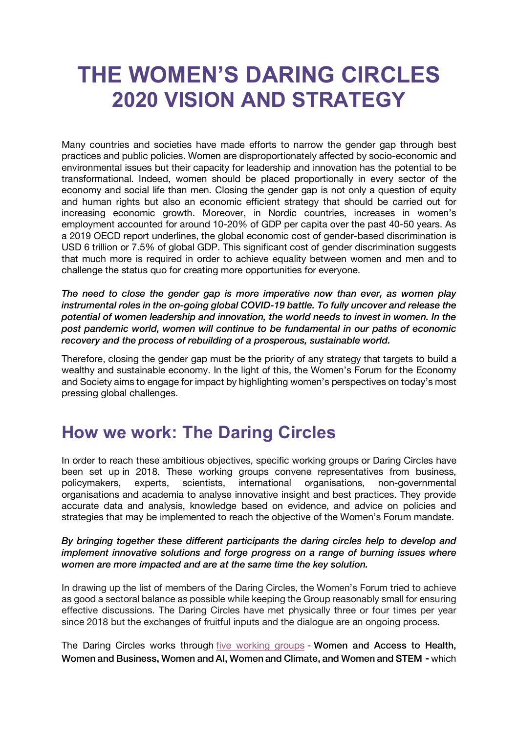## **THE WOMEN'S DARING CIRCLES 2020 VISION AND STRATEGY**

Many countries and societies have made efforts to narrow the gender gap through best practices and public policies. Women are disproportionately affected by socio-economic and environmental issues but their capacity for leadership and innovation has the potential to be transformational. Indeed, women should be placed proportionally in every sector of the economy and social life than men. Closing the gender gap is not only a question of equity and human rights but also an economic efficient strategy that should be carried out for increasing economic growth. Moreover, in Nordic countries, increases in women's employment accounted for around 10-20% of GDP per capita over the past 40-50 years. As a 2019 OECD report underlines, the global economic cost of gender-based discrimination is USD 6 trillion or 7.5% of global GDP. This significant cost of gender discrimination suggests that much more is required in order to achieve equality between women and men and to challenge the status quo for creating more opportunities for everyone.

*The need to close the gender gap is more imperative now than ever, as women play instrumental roles in the on-going global COVID-19 battle. To fully uncover and release the potential of women leadership and innovation, the world needs to invest in women. In the post pandemic world, women will continue to be fundamental in our paths of economic recovery and the process of rebuilding of a prosperous, sustainable world.*

Therefore, closing the gender gap must be the priority of any strategy that targets to build a wealthy and sustainable economy. In the light of this, the Women's Forum for the Economy and Society aims to engage for impact by highlighting women's perspectives on today's most pressing global challenges.

## **How we work: The Daring Circles**

In order to reach these ambitious objectives, specific working groups or Daring Circles have been set up in 2018. These working groups convene representatives from business, policymakers, experts, scientists, international organisations, non-governmental organisations and academia to analyse innovative insight and best practices. They provide accurate data and analysis, knowledge based on evidence, and advice on policies and strategies that may be implemented to reach the objective of the Women's Forum mandate.

## *By bringing together these different participants the daring circles help to develop and implement innovative solutions and forge progress on a range of burning issues where women are more impacted and are at the same time the key solution.*

In drawing up the list of members of the Daring Circles, the Women's Forum tried to achieve as good a sectoral balance as possible while keeping the Group reasonably small for ensuring effective discussions. The Daring Circles have met physically three or four times per year since 2018 but the exchanges of fruitful inputs and the dialogue are an ongoing process.

The Daring Circles works through five working groups - Women and Access to Health, Women and Business, Women and AI, Women and Climate, and Women and STEM - which